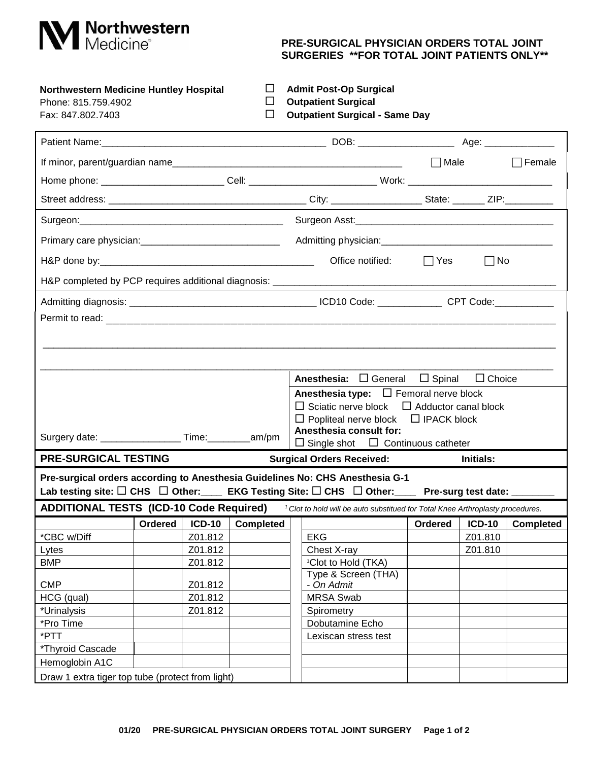

## **PRE-SURGICAL PHYSICIAN ORDERS TOTAL JOINT SURGERIES \*\*FOR TOTAL JOINT PATIENTS ONLY\*\***

| <b>Northwestern Medicine Huntley Hospital</b> |  | <b>Admit Post-Op Surgical</b> |
|-----------------------------------------------|--|-------------------------------|
| Phone: 815 759 4902                           |  | <b>Outpatient Surgical</b>    |

|  |  | <b>Outpatient Surgica</b> |
|--|--|---------------------------|
|  |  |                           |

Phone: 815.759.4902 **D** Outpatient Surgical<br>Fax: 847.802.7403 **D** Outpatient Surgical Fax: 847.802.7403 **Outpatient Surgical - Same Day**

| $\Box$ Male<br>$\Box$ Female<br>Office notified:<br>$\Box$ No<br>l lYes<br>H&P completed by PCP requires additional diagnosis: _____________________________<br><b>Anesthesia:</b> $\Box$ General $\Box$ Spinal<br>$\Box$ Choice<br><b>Anesthesia type:</b> $\Box$ Femoral nerve block<br>$\Box$ Sciatic nerve block $\Box$ Adductor canal block<br>$\Box$ Popliteal nerve block $\Box$ IPACK block<br>Anesthesia consult for:<br>Surgery date: ____________________ Time: __________ am/pm<br>$\Box$ Single shot $\Box$ Continuous catheter<br><b>PRE-SURGICAL TESTING</b><br><b>Surgical Orders Received:</b><br>Initials:<br>Pre-surgical orders according to Anesthesia Guidelines No: CHS Anesthesia G-1<br>Lab testing site: $\square$ CHS $\;\square$ Other: EKG Testing Site: $\square$ CHS $\;\square$ Other: Pre-surg test date: ______<br>ADDITIONAL TESTS (ICD-10 Code Required) <sup>1</sup> Clot to hold will be auto substitued for Total Knee Arthroplasty procedures.<br><b>Ordered</b><br><b>ICD-10</b><br><b>Completed</b><br><b>Completed</b><br>Ordered<br><b>ICD-10</b><br>*CBC w/Diff<br><b>EKG</b><br>Z01.812<br>Z01.810<br>Z01.810<br>Z01.812<br>Chest X-ray<br>Lytes<br><b>BMP</b><br>Z01.812<br><sup>1</sup> Clot to Hold (TKA)<br>Type & Screen (THA)<br><b>CMP</b><br>Z01.812<br>- On Admit<br>HCG (qual)<br>Z01.812<br><b>MRSA Swab</b><br>*Urinalysis<br>Z01.812<br>Spirometry<br>Dobutamine Echo<br>*PTT<br>Lexiscan stress test<br>*Thyroid Cascade<br>Hemoglobin A1C<br>Draw 1 extra tiger top tube (protect from light) |           |  |  |  |  |  |  |  |
|------------------------------------------------------------------------------------------------------------------------------------------------------------------------------------------------------------------------------------------------------------------------------------------------------------------------------------------------------------------------------------------------------------------------------------------------------------------------------------------------------------------------------------------------------------------------------------------------------------------------------------------------------------------------------------------------------------------------------------------------------------------------------------------------------------------------------------------------------------------------------------------------------------------------------------------------------------------------------------------------------------------------------------------------------------------------------------------------------------------------------------------------------------------------------------------------------------------------------------------------------------------------------------------------------------------------------------------------------------------------------------------------------------------------------------------------------------------------------------------------------------------------------------------------------------|-----------|--|--|--|--|--|--|--|
|                                                                                                                                                                                                                                                                                                                                                                                                                                                                                                                                                                                                                                                                                                                                                                                                                                                                                                                                                                                                                                                                                                                                                                                                                                                                                                                                                                                                                                                                                                                                                            |           |  |  |  |  |  |  |  |
|                                                                                                                                                                                                                                                                                                                                                                                                                                                                                                                                                                                                                                                                                                                                                                                                                                                                                                                                                                                                                                                                                                                                                                                                                                                                                                                                                                                                                                                                                                                                                            |           |  |  |  |  |  |  |  |
|                                                                                                                                                                                                                                                                                                                                                                                                                                                                                                                                                                                                                                                                                                                                                                                                                                                                                                                                                                                                                                                                                                                                                                                                                                                                                                                                                                                                                                                                                                                                                            |           |  |  |  |  |  |  |  |
|                                                                                                                                                                                                                                                                                                                                                                                                                                                                                                                                                                                                                                                                                                                                                                                                                                                                                                                                                                                                                                                                                                                                                                                                                                                                                                                                                                                                                                                                                                                                                            |           |  |  |  |  |  |  |  |
|                                                                                                                                                                                                                                                                                                                                                                                                                                                                                                                                                                                                                                                                                                                                                                                                                                                                                                                                                                                                                                                                                                                                                                                                                                                                                                                                                                                                                                                                                                                                                            |           |  |  |  |  |  |  |  |
|                                                                                                                                                                                                                                                                                                                                                                                                                                                                                                                                                                                                                                                                                                                                                                                                                                                                                                                                                                                                                                                                                                                                                                                                                                                                                                                                                                                                                                                                                                                                                            |           |  |  |  |  |  |  |  |
|                                                                                                                                                                                                                                                                                                                                                                                                                                                                                                                                                                                                                                                                                                                                                                                                                                                                                                                                                                                                                                                                                                                                                                                                                                                                                                                                                                                                                                                                                                                                                            |           |  |  |  |  |  |  |  |
|                                                                                                                                                                                                                                                                                                                                                                                                                                                                                                                                                                                                                                                                                                                                                                                                                                                                                                                                                                                                                                                                                                                                                                                                                                                                                                                                                                                                                                                                                                                                                            |           |  |  |  |  |  |  |  |
|                                                                                                                                                                                                                                                                                                                                                                                                                                                                                                                                                                                                                                                                                                                                                                                                                                                                                                                                                                                                                                                                                                                                                                                                                                                                                                                                                                                                                                                                                                                                                            |           |  |  |  |  |  |  |  |
|                                                                                                                                                                                                                                                                                                                                                                                                                                                                                                                                                                                                                                                                                                                                                                                                                                                                                                                                                                                                                                                                                                                                                                                                                                                                                                                                                                                                                                                                                                                                                            |           |  |  |  |  |  |  |  |
|                                                                                                                                                                                                                                                                                                                                                                                                                                                                                                                                                                                                                                                                                                                                                                                                                                                                                                                                                                                                                                                                                                                                                                                                                                                                                                                                                                                                                                                                                                                                                            |           |  |  |  |  |  |  |  |
|                                                                                                                                                                                                                                                                                                                                                                                                                                                                                                                                                                                                                                                                                                                                                                                                                                                                                                                                                                                                                                                                                                                                                                                                                                                                                                                                                                                                                                                                                                                                                            |           |  |  |  |  |  |  |  |
|                                                                                                                                                                                                                                                                                                                                                                                                                                                                                                                                                                                                                                                                                                                                                                                                                                                                                                                                                                                                                                                                                                                                                                                                                                                                                                                                                                                                                                                                                                                                                            |           |  |  |  |  |  |  |  |
|                                                                                                                                                                                                                                                                                                                                                                                                                                                                                                                                                                                                                                                                                                                                                                                                                                                                                                                                                                                                                                                                                                                                                                                                                                                                                                                                                                                                                                                                                                                                                            |           |  |  |  |  |  |  |  |
|                                                                                                                                                                                                                                                                                                                                                                                                                                                                                                                                                                                                                                                                                                                                                                                                                                                                                                                                                                                                                                                                                                                                                                                                                                                                                                                                                                                                                                                                                                                                                            |           |  |  |  |  |  |  |  |
|                                                                                                                                                                                                                                                                                                                                                                                                                                                                                                                                                                                                                                                                                                                                                                                                                                                                                                                                                                                                                                                                                                                                                                                                                                                                                                                                                                                                                                                                                                                                                            |           |  |  |  |  |  |  |  |
|                                                                                                                                                                                                                                                                                                                                                                                                                                                                                                                                                                                                                                                                                                                                                                                                                                                                                                                                                                                                                                                                                                                                                                                                                                                                                                                                                                                                                                                                                                                                                            |           |  |  |  |  |  |  |  |
|                                                                                                                                                                                                                                                                                                                                                                                                                                                                                                                                                                                                                                                                                                                                                                                                                                                                                                                                                                                                                                                                                                                                                                                                                                                                                                                                                                                                                                                                                                                                                            |           |  |  |  |  |  |  |  |
|                                                                                                                                                                                                                                                                                                                                                                                                                                                                                                                                                                                                                                                                                                                                                                                                                                                                                                                                                                                                                                                                                                                                                                                                                                                                                                                                                                                                                                                                                                                                                            |           |  |  |  |  |  |  |  |
|                                                                                                                                                                                                                                                                                                                                                                                                                                                                                                                                                                                                                                                                                                                                                                                                                                                                                                                                                                                                                                                                                                                                                                                                                                                                                                                                                                                                                                                                                                                                                            |           |  |  |  |  |  |  |  |
|                                                                                                                                                                                                                                                                                                                                                                                                                                                                                                                                                                                                                                                                                                                                                                                                                                                                                                                                                                                                                                                                                                                                                                                                                                                                                                                                                                                                                                                                                                                                                            |           |  |  |  |  |  |  |  |
|                                                                                                                                                                                                                                                                                                                                                                                                                                                                                                                                                                                                                                                                                                                                                                                                                                                                                                                                                                                                                                                                                                                                                                                                                                                                                                                                                                                                                                                                                                                                                            |           |  |  |  |  |  |  |  |
|                                                                                                                                                                                                                                                                                                                                                                                                                                                                                                                                                                                                                                                                                                                                                                                                                                                                                                                                                                                                                                                                                                                                                                                                                                                                                                                                                                                                                                                                                                                                                            |           |  |  |  |  |  |  |  |
|                                                                                                                                                                                                                                                                                                                                                                                                                                                                                                                                                                                                                                                                                                                                                                                                                                                                                                                                                                                                                                                                                                                                                                                                                                                                                                                                                                                                                                                                                                                                                            |           |  |  |  |  |  |  |  |
|                                                                                                                                                                                                                                                                                                                                                                                                                                                                                                                                                                                                                                                                                                                                                                                                                                                                                                                                                                                                                                                                                                                                                                                                                                                                                                                                                                                                                                                                                                                                                            |           |  |  |  |  |  |  |  |
|                                                                                                                                                                                                                                                                                                                                                                                                                                                                                                                                                                                                                                                                                                                                                                                                                                                                                                                                                                                                                                                                                                                                                                                                                                                                                                                                                                                                                                                                                                                                                            |           |  |  |  |  |  |  |  |
|                                                                                                                                                                                                                                                                                                                                                                                                                                                                                                                                                                                                                                                                                                                                                                                                                                                                                                                                                                                                                                                                                                                                                                                                                                                                                                                                                                                                                                                                                                                                                            |           |  |  |  |  |  |  |  |
|                                                                                                                                                                                                                                                                                                                                                                                                                                                                                                                                                                                                                                                                                                                                                                                                                                                                                                                                                                                                                                                                                                                                                                                                                                                                                                                                                                                                                                                                                                                                                            |           |  |  |  |  |  |  |  |
|                                                                                                                                                                                                                                                                                                                                                                                                                                                                                                                                                                                                                                                                                                                                                                                                                                                                                                                                                                                                                                                                                                                                                                                                                                                                                                                                                                                                                                                                                                                                                            | *Pro Time |  |  |  |  |  |  |  |
|                                                                                                                                                                                                                                                                                                                                                                                                                                                                                                                                                                                                                                                                                                                                                                                                                                                                                                                                                                                                                                                                                                                                                                                                                                                                                                                                                                                                                                                                                                                                                            |           |  |  |  |  |  |  |  |
|                                                                                                                                                                                                                                                                                                                                                                                                                                                                                                                                                                                                                                                                                                                                                                                                                                                                                                                                                                                                                                                                                                                                                                                                                                                                                                                                                                                                                                                                                                                                                            |           |  |  |  |  |  |  |  |
|                                                                                                                                                                                                                                                                                                                                                                                                                                                                                                                                                                                                                                                                                                                                                                                                                                                                                                                                                                                                                                                                                                                                                                                                                                                                                                                                                                                                                                                                                                                                                            |           |  |  |  |  |  |  |  |
|                                                                                                                                                                                                                                                                                                                                                                                                                                                                                                                                                                                                                                                                                                                                                                                                                                                                                                                                                                                                                                                                                                                                                                                                                                                                                                                                                                                                                                                                                                                                                            |           |  |  |  |  |  |  |  |